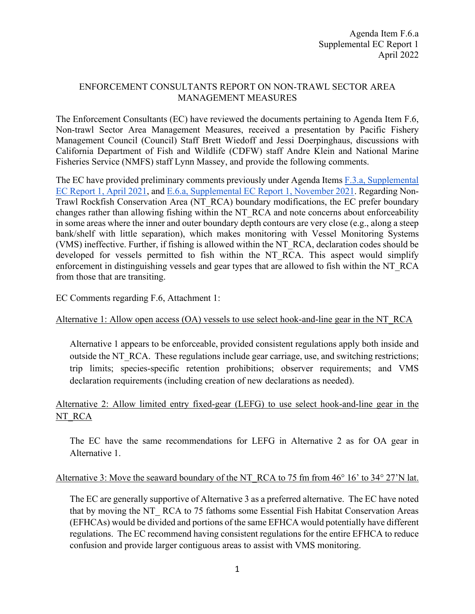## ENFORCEMENT CONSULTANTS REPORT ON NON-TRAWL SECTOR AREA MANAGEMENT MEASURES

The Enforcement Consultants (EC) have reviewed the documents pertaining to Agenda Item F.6, Non-trawl Sector Area Management Measures, received a presentation by Pacific Fishery Management Council (Council) Staff Brett Wiedoff and Jessi Doerpinghaus, discussions with California Department of Fish and Wildlife (CDFW) staff Andre Klein and National Marine Fisheries Service (NMFS) staff Lynn Massey, and provide the following comments.

The EC have provided preliminary comments previously under Agenda Items [F.3.a, Supplemental](https://www.pcouncil.org/documents/2021/04/f-3-a-supplemental-ec-report-1-3.pdf/)  [EC Report 1, April 2021,](https://www.pcouncil.org/documents/2021/04/f-3-a-supplemental-ec-report-1-3.pdf/) and [E.6.a, Supplemental EC Report 1, November 2021.](https://www.pcouncil.org/documents/2021/11/e-6-a-supplemental-ec-report-1.pdf/) Regarding Non-Trawl Rockfish Conservation Area (NT\_RCA) boundary modifications, the EC prefer boundary changes rather than allowing fishing within the NT\_RCA and note concerns about enforceability in some areas where the inner and outer boundary depth contours are very close (e.g., along a steep bank/shelf with little separation), which makes monitoring with Vessel Monitoring Systems (VMS) ineffective. Further, if fishing is allowed within the NT\_RCA, declaration codes should be developed for vessels permitted to fish within the NT RCA. This aspect would simplify enforcement in distinguishing vessels and gear types that are allowed to fish within the NT\_RCA from those that are transiting.

EC Comments regarding F.6, Attachment 1:

# Alternative 1: Allow open access (OA) vessels to use select hook-and-line gear in the NT\_RCA

Alternative 1 appears to be enforceable, provided consistent regulations apply both inside and outside the NT\_RCA. These regulations include gear carriage, use, and switching restrictions; trip limits; species-specific retention prohibitions; observer requirements; and VMS declaration requirements (including creation of new declarations as needed).

# Alternative 2: Allow limited entry fixed-gear (LEFG) to use select hook-and-line gear in the NT\_RCA

The EC have the same recommendations for LEFG in Alternative 2 as for OA gear in Alternative 1.

#### Alternative 3: Move the seaward boundary of the NT\_RCA to 75 fm from 46° 16' to 34° 27'N lat.

The EC are generally supportive of Alternative 3 as a preferred alternative. The EC have noted that by moving the NT\_ RCA to 75 fathoms some Essential Fish Habitat Conservation Areas (EFHCAs) would be divided and portions of the same EFHCA would potentially have different regulations. The EC recommend having consistent regulations for the entire EFHCA to reduce confusion and provide larger contiguous areas to assist with VMS monitoring.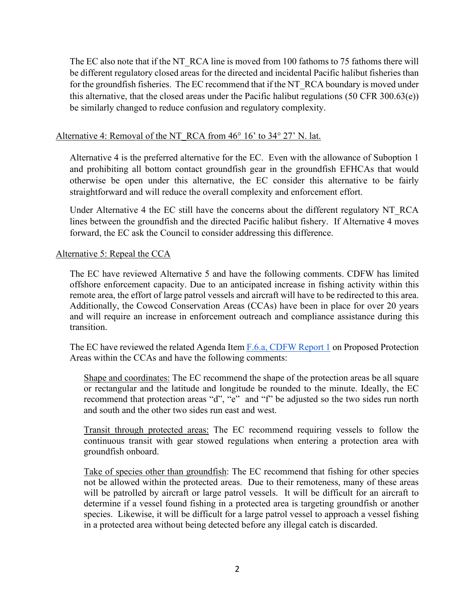The EC also note that if the NT\_RCA line is moved from 100 fathoms to 75 fathoms there will be different regulatory closed areas for the directed and incidental Pacific halibut fisheries than for the groundfish fisheries. The EC recommend that if the NT\_RCA boundary is moved under this alternative, that the closed areas under the Pacific halibut regulations (50 CFR 300.63(e)) be similarly changed to reduce confusion and regulatory complexity.

### Alternative 4: Removal of the NT\_RCA from 46° 16' to 34° 27' N. lat.

Alternative 4 is the preferred alternative for the EC. Even with the allowance of Suboption 1 and prohibiting all bottom contact groundfish gear in the groundfish EFHCAs that would otherwise be open under this alternative, the EC consider this alternative to be fairly straightforward and will reduce the overall complexity and enforcement effort.

Under Alternative 4 the EC still have the concerns about the different regulatory NT\_RCA lines between the groundfish and the directed Pacific halibut fishery. If Alternative 4 moves forward, the EC ask the Council to consider addressing this difference.

#### Alternative 5: Repeal the CCA

The EC have reviewed Alternative 5 and have the following comments. CDFW has limited offshore enforcement capacity. Due to an anticipated increase in fishing activity within this remote area, the effort of large patrol vessels and aircraft will have to be redirected to this area. Additionally, the Cowcod Conservation Areas (CCAs) have been in place for over 20 years and will require an increase in enforcement outreach and compliance assistance during this transition.

The EC have reviewed the related Agenda Item F.6.a, [CDFW Report 1](https://www.pcouncil.org/documents/2022/03/f-6-a-cdfw-report-1-propose-protection-areas-within-the-cowcod-conservation-area.pdf/) on Proposed Protection Areas within the CCAs and have the following comments:

Shape and coordinates: The EC recommend the shape of the protection areas be all square or rectangular and the latitude and longitude be rounded to the minute. Ideally, the EC recommend that protection areas "d", "e" and "f" be adjusted so the two sides run north and south and the other two sides run east and west.

Transit through protected areas: The EC recommend requiring vessels to follow the continuous transit with gear stowed regulations when entering a protection area with groundfish onboard.

Take of species other than groundfish: The EC recommend that fishing for other species not be allowed within the protected areas. Due to their remoteness, many of these areas will be patrolled by aircraft or large patrol vessels. It will be difficult for an aircraft to determine if a vessel found fishing in a protected area is targeting groundfish or another species. Likewise, it will be difficult for a large patrol vessel to approach a vessel fishing in a protected area without being detected before any illegal catch is discarded.